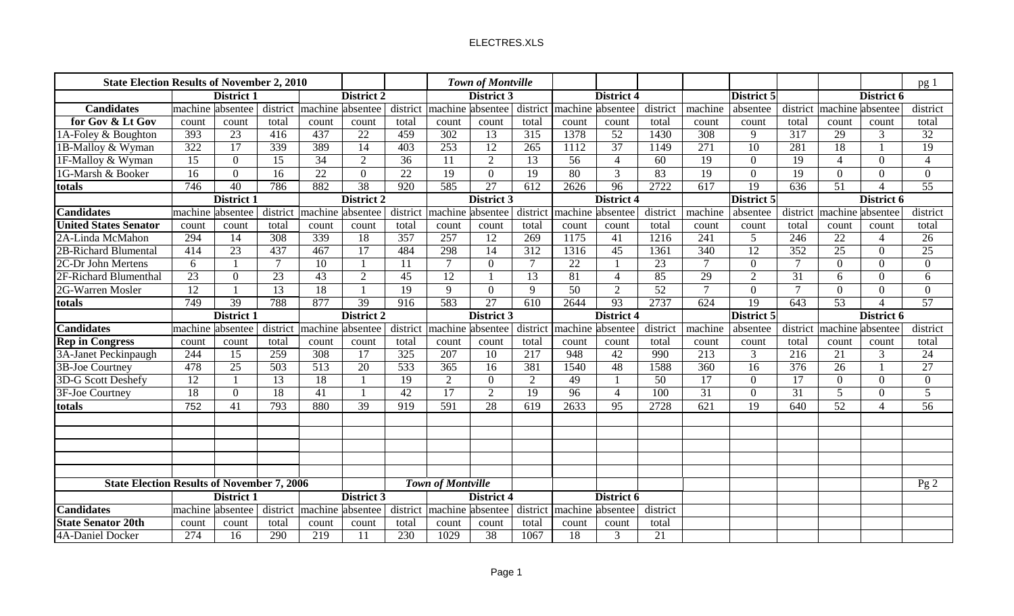| <b>State Election Results of November 2, 2010</b> |                  |                   |                  |                  |                   |                  |                          | Town of Montville |                  |                  |                   |                 |                  |                   |                  |                  |                          | $pg_1$          |
|---------------------------------------------------|------------------|-------------------|------------------|------------------|-------------------|------------------|--------------------------|-------------------|------------------|------------------|-------------------|-----------------|------------------|-------------------|------------------|------------------|--------------------------|-----------------|
|                                                   |                  | District 1        |                  |                  | District 2        |                  |                          | District 3        |                  |                  | District 4        |                 |                  | District 5        |                  |                  | District 6               |                 |
| <b>Candidates</b>                                 |                  | machine absentee  | district         | machine absentee |                   | district         |                          | machine absentee  | district         | machine absentee |                   | district        | machine          | absentee          | district         | machine absentee |                          | district        |
| for Gov & Lt Gov                                  | count            | count             | total            | count            | count             | total            | count                    | count             | total            | count            | count             | total           | count            | count             | total            | count            | count                    | total           |
| 1A-Foley & Boughton                               | 393              | 23                | 416              | 437              | 22                | 459              | 302                      | 13                | 315              | 1378             | 52                | 1430            | 308              | 9                 | 317              | 29               | 3                        | $\overline{32}$ |
| 1B-Malloy & Wyman                                 | 322              | $\overline{17}$   | 339              | 389              | 14                | 403              | 253                      | 12                | 265              | 1112             | $\overline{37}$   | 1149            | 271              | 10                | 281              | 18               |                          | 19              |
| 1F-Malloy & Wyman                                 | 15               | $\overline{0}$    | 15               | $\overline{34}$  | $\overline{2}$    | $\overline{36}$  | 11                       | $\overline{2}$    | 13               | $\overline{56}$  | $\overline{4}$    | $\overline{60}$ | 19               | $\overline{0}$    | 19               | $\overline{4}$   | $\theta$                 |                 |
| 1G-Marsh & Booker                                 | 16               | $\Omega$          | 16               | $\overline{22}$  | $\overline{0}$    | $\overline{22}$  | 19                       | $\theta$          | 19               | $\overline{80}$  | $\overline{3}$    | 83              | 19               | $\overline{0}$    | 19               | $\Omega$         | $\theta$                 | $\Omega$        |
| totals                                            | $\overline{746}$ | 40                | 786              | 882              | 38                | $\overline{920}$ | 585                      | 27                | $\overline{612}$ | 2626             | $\overline{96}$   | 2722            | $\overline{617}$ | 19                | $\overline{636}$ | 51               |                          | $\overline{55}$ |
|                                                   |                  | District 1        |                  |                  | District 2        |                  |                          | District 3        |                  |                  | <b>District 4</b> |                 |                  | District 5        |                  |                  | District 6               |                 |
| <b>Candidates</b>                                 | machine          | absentee          | district         | machine          | absentee          | district         | machine absentee         |                   | district         | machine absentee |                   | district        | machine          | absentee          | district         | machine absentee |                          | district        |
| <b>United States Senator</b>                      | count            | count             | total            | count            | count             | total            | count                    | count             | total            | count            | count             | total           | count            | count             | total            | count            | count                    | total           |
| 2A-Linda McMahon                                  | 294              | 14                | 308              | 339              | 18                | 357              | 257                      | 12                | 269              | 1175             | 41                | 1216            | 241              | 5                 | 246              | 22               | $\overline{4}$           | 26              |
| 2B-Richard Blumental                              | 414              | $\overline{23}$   | 437              | 467              | $\overline{17}$   | 484              | 298                      | 14                | $\overline{312}$ | 1316             | $\overline{45}$   | 1361            | $\overline{340}$ | 12                | $\overline{352}$ | $\overline{25}$  | $\overline{0}$           | 25              |
| 2C-Dr John Mertens                                | 6                |                   | $\tau$           | 10               |                   | 11               | $\overline{7}$           | $\Omega$          | $\overline{7}$   | 22               |                   | 23              | $\tau$           | $\overline{0}$    | $\overline{7}$   | $\Omega$         | $\Omega$                 | $\Omega$        |
| 2F-Richard Blumenthal                             | 23               | $\Omega$          | 23               | 43               | $\overline{2}$    | 45               | 12                       | $\mathbf{1}$      | 13               | 81               | $\overline{4}$    | 85              | 29               | $\overline{2}$    | 31               | 6                | $\theta$                 | 6               |
| 2G-Warren Mosler                                  | 12               |                   | 13               | 18               |                   | 19               | 9                        | $\overline{0}$    | 9                | 50               | 2                 | 52              | $\mathcal{I}$    | $\overline{0}$    | $\tau$           | $\overline{0}$   | $\Omega$                 | $\overline{0}$  |
| totals                                            | 749              | 39                | 788              | 877              | 39                | 916              | 583                      | 27                | 610              | 2644             | 93                | 2737            | $\overline{624}$ | 19                | 643              | 53               | $\boldsymbol{\varDelta}$ | 57              |
|                                                   |                  | <b>District 1</b> |                  |                  | <b>District 2</b> |                  |                          | <b>District 3</b> |                  |                  | <b>District 4</b> |                 |                  | <b>District 5</b> |                  |                  | District 6               |                 |
|                                                   |                  |                   |                  |                  |                   |                  |                          |                   |                  |                  |                   |                 |                  |                   |                  |                  |                          |                 |
| <b>Candidates</b>                                 | machine          | absentee          | district         | machine          | absentee          | district         |                          | machine absentee  | district         | machine absentee |                   | district        | machine          | absentee          | district         | machine absentee |                          | district        |
| <b>Rep in Congress</b>                            | count            | count             | total            | count            | count             | total            | count                    | count             | total            | count            | count             | total           | count            | count             | total            | count            | count                    | total           |
| 3A-Janet Peckinpaugh                              | 244              | 15                | 259              | 308              | 17                | 325              | 207                      | 10                | 217              | 948              | 42                | 990             | 213              | $\mathfrak{Z}$    | 216              | 21               | 3                        | 24              |
| <b>3B-Joe Courtney</b>                            | 478              | $\overline{25}$   | $\overline{503}$ | $\overline{513}$ | 20                | 533              | 365                      | 16                | 381              | 1540             | 48                | 1588            | $\overline{360}$ | $\overline{16}$   | $\overline{376}$ | 26               | $\mathbf{1}$             | 27              |
| 3D-G Scott Deshefy                                | $\overline{12}$  |                   | 13               | 18               |                   | 19               | 2                        | $\overline{0}$    | 2                | 49               | $\overline{1}$    | $\overline{50}$ | 17               | $\overline{0}$    | 17               | $\overline{0}$   | $\overline{0}$           | $\overline{0}$  |
| 3F-Joe Courtney                                   | 18               | $\overline{0}$    | 18               | 41               |                   | 42               | 17                       | 2                 | 19               | 96               | $\overline{4}$    | 100             | $\overline{31}$  | $\overline{0}$    | 31               | $5\overline{)}$  | $\theta$                 | $5\overline{)}$ |
| totals                                            | 752              | 41                | 793              | 880              | $\overline{39}$   | 919              | 591                      | $\overline{28}$   | 619              | 2633             | 95                | 2728            | $\overline{621}$ | $\overline{19}$   | 640              | 52               | $\Lambda$                | 56              |
|                                                   |                  |                   |                  |                  |                   |                  |                          |                   |                  |                  |                   |                 |                  |                   |                  |                  |                          |                 |
|                                                   |                  |                   |                  |                  |                   |                  |                          |                   |                  |                  |                   |                 |                  |                   |                  |                  |                          |                 |
|                                                   |                  |                   |                  |                  |                   |                  |                          |                   |                  |                  |                   |                 |                  |                   |                  |                  |                          |                 |
|                                                   |                  |                   |                  |                  |                   |                  |                          |                   |                  |                  |                   |                 |                  |                   |                  |                  |                          |                 |
|                                                   |                  |                   |                  |                  |                   |                  |                          |                   |                  |                  |                   |                 |                  |                   |                  |                  |                          |                 |
| <b>State Election Results of November 7, 2006</b> |                  |                   |                  |                  |                   |                  | <b>Town of Montville</b> |                   |                  |                  |                   |                 |                  |                   |                  |                  |                          | Pg2             |
|                                                   |                  | <b>District 1</b> |                  |                  | District 3        |                  |                          | <b>District 4</b> |                  |                  | District 6        |                 |                  |                   |                  |                  |                          |                 |
| <b>Candidates</b>                                 |                  | machine absentee  |                  | district machine | absentee          | district         |                          | machine absentee  | district         | machine absentee |                   | district        |                  |                   |                  |                  |                          |                 |
| <b>State Senator 20th</b><br>4A-Daniel Docker     | count<br>274     | count<br>16       | total<br>290     | count<br>219     | count<br>11       | total<br>230     | count<br>1029            | count<br>38       | total<br>1067    | count<br>18      | count<br>3        | total<br>21     |                  |                   |                  |                  |                          |                 |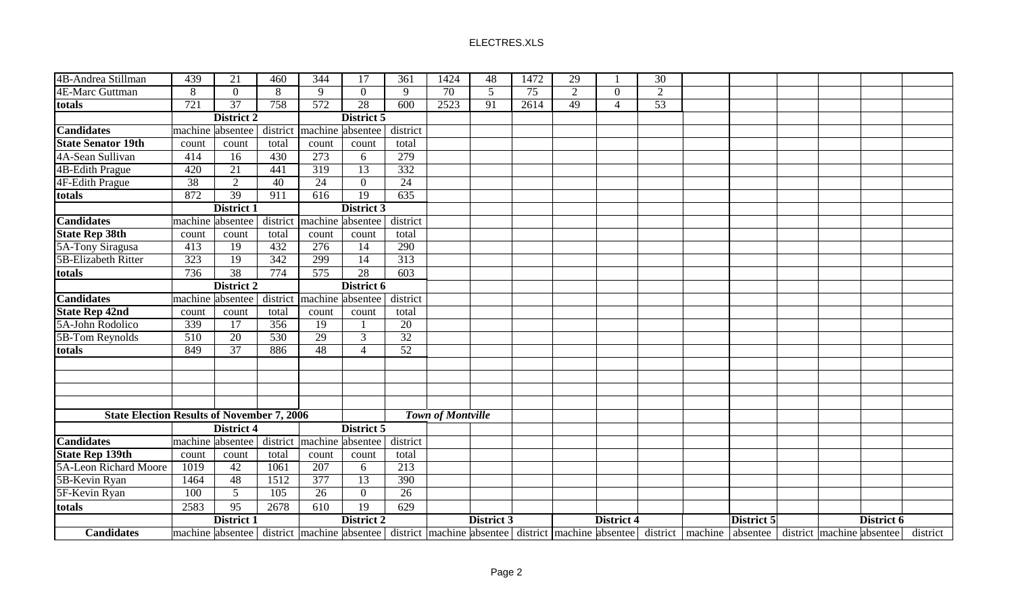| 4B-Andrea Stillman                                | 439               | 21                                                                                                                                                 | 460              | 344              | $\overline{17}$   | 361              | 1424              | 48         | 1472 | 29 |                       | 30             |            |  |            |          |
|---------------------------------------------------|-------------------|----------------------------------------------------------------------------------------------------------------------------------------------------|------------------|------------------|-------------------|------------------|-------------------|------------|------|----|-----------------------|----------------|------------|--|------------|----------|
| 4E-Marc Guttman                                   | 8                 | $\overline{0}$                                                                                                                                     | 8                | 9                | $\overline{0}$    | 9                | 70                | 5          | 75   | 2  | $\overline{0}$        | $\overline{2}$ |            |  |            |          |
| totals                                            | $\overline{721}$  | $\overline{37}$                                                                                                                                    | 758              | $\overline{572}$ | $\overline{28}$   | $\overline{600}$ | 2523              | 91         | 2614 | 49 | $\boldsymbol{\Delta}$ | 53             |            |  |            |          |
|                                                   |                   | <b>District 2</b>                                                                                                                                  |                  |                  | District 5        |                  |                   |            |      |    |                       |                |            |  |            |          |
| <b>Candidates</b>                                 |                   | machine absentee                                                                                                                                   | district         |                  | machine absentee  | district         |                   |            |      |    |                       |                |            |  |            |          |
| <b>State Senator 19th</b>                         | count             | count                                                                                                                                              | total            | count            | count             | total            |                   |            |      |    |                       |                |            |  |            |          |
| 4A-Sean Sullivan                                  | 414               | 16                                                                                                                                                 | 430              | 273              | 6                 | 279              |                   |            |      |    |                       |                |            |  |            |          |
| <b>4B-Edith Prague</b>                            | 420               | $\overline{21}$                                                                                                                                    | 441              | $\overline{319}$ | $\overline{13}$   | 332              |                   |            |      |    |                       |                |            |  |            |          |
| 4F-Edith Prague                                   | $\overline{38}$   | $\overline{2}$                                                                                                                                     | $\overline{40}$  | 24               | $\overline{0}$    | $\overline{24}$  |                   |            |      |    |                       |                |            |  |            |          |
| totals                                            | 872               | $\overline{39}$                                                                                                                                    | 911              | $\overline{616}$ | $\overline{19}$   | 635              |                   |            |      |    |                       |                |            |  |            |          |
|                                                   |                   | District 1                                                                                                                                         |                  |                  | District 3        |                  |                   |            |      |    |                       |                |            |  |            |          |
| <b>Candidates</b>                                 |                   | machine absentee                                                                                                                                   | district         |                  | machine absentee  | district         |                   |            |      |    |                       |                |            |  |            |          |
| <b>State Rep 38th</b>                             | count             | count                                                                                                                                              | total            | count            | count             | total            |                   |            |      |    |                       |                |            |  |            |          |
| 5A-Tony Siragusa                                  | 413               | 19                                                                                                                                                 | 432              | 276              | 14                | 290              |                   |            |      |    |                       |                |            |  |            |          |
| 5B-Elizabeth Ritter                               | $\overline{323}$  | <sup>19</sup>                                                                                                                                      | $\frac{342}{ }$  | 299              | $\overline{14}$   | $\overline{313}$ |                   |            |      |    |                       |                |            |  |            |          |
| totals                                            | 736               | $\overline{38}$                                                                                                                                    | 774              | 575              | 28                | 603              |                   |            |      |    |                       |                |            |  |            |          |
|                                                   |                   | District 2                                                                                                                                         |                  |                  | District 6        |                  |                   |            |      |    |                       |                |            |  |            |          |
| <b>Candidates</b>                                 |                   | machine absentee                                                                                                                                   | district         |                  | machine absentee  | district         |                   |            |      |    |                       |                |            |  |            |          |
| <b>State Rep 42nd</b>                             | count             | count                                                                                                                                              | total            | count            | count             | total            |                   |            |      |    |                       |                |            |  |            |          |
| 5A-John Rodolico                                  | 339               | 17                                                                                                                                                 | $\overline{356}$ | 19               |                   | 20               |                   |            |      |    |                       |                |            |  |            |          |
| 5B-Tom Reynolds                                   | $\overline{510}$  | $\overline{20}$                                                                                                                                    | $\overline{530}$ | 29               | $\mathfrak{Z}$    | $\overline{32}$  |                   |            |      |    |                       |                |            |  |            |          |
| totals                                            | 849               | $\overline{37}$                                                                                                                                    | 886              | 48               | $\overline{4}$    | 52               |                   |            |      |    |                       |                |            |  |            |          |
|                                                   |                   |                                                                                                                                                    |                  |                  |                   |                  |                   |            |      |    |                       |                |            |  |            |          |
|                                                   |                   |                                                                                                                                                    |                  |                  |                   |                  |                   |            |      |    |                       |                |            |  |            |          |
|                                                   |                   |                                                                                                                                                    |                  |                  |                   |                  |                   |            |      |    |                       |                |            |  |            |          |
|                                                   |                   |                                                                                                                                                    |                  |                  |                   |                  |                   |            |      |    |                       |                |            |  |            |          |
| <b>State Election Results of November 7, 2006</b> |                   |                                                                                                                                                    |                  |                  |                   |                  | Town of Montville |            |      |    |                       |                |            |  |            |          |
|                                                   |                   | District 4                                                                                                                                         |                  |                  | District 5        |                  |                   |            |      |    |                       |                |            |  |            |          |
| <b>Candidates</b>                                 |                   | machine absentee                                                                                                                                   | district         |                  | machine absentee  | district         |                   |            |      |    |                       |                |            |  |            |          |
| <b>State Rep 139th</b>                            | count             | count                                                                                                                                              | total            | count            | count             | total            |                   |            |      |    |                       |                |            |  |            |          |
| <b>5A-Leon Richard Moore</b>                      | 1019              | $\overline{42}$                                                                                                                                    | 1061             | 207              | 6                 | $\overline{213}$ |                   |            |      |    |                       |                |            |  |            |          |
| 5B-Kevin Ryan                                     | 1464              | 48                                                                                                                                                 | 1512             | 377              | $\overline{13}$   | 390              |                   |            |      |    |                       |                |            |  |            |          |
| 5F-Kevin Ryan                                     | 100               | $5\overline{)}$                                                                                                                                    | 105              | 26               | $\overline{0}$    | 26               |                   |            |      |    |                       |                |            |  |            |          |
| totals                                            | 2583              | 95                                                                                                                                                 | 2678             | 610              | 19                | 629              |                   |            |      |    |                       |                |            |  |            |          |
|                                                   | <b>District 1</b> |                                                                                                                                                    |                  |                  | <b>District 2</b> |                  |                   | District 3 |      |    | <b>District 4</b>     |                | District 5 |  | District 6 |          |
| <b>Candidates</b>                                 |                   | machine absentee district machine absentee district machine absentee district machine absentee district machine absentee district machine absentee |                  |                  |                   |                  |                   |            |      |    |                       |                |            |  |            | district |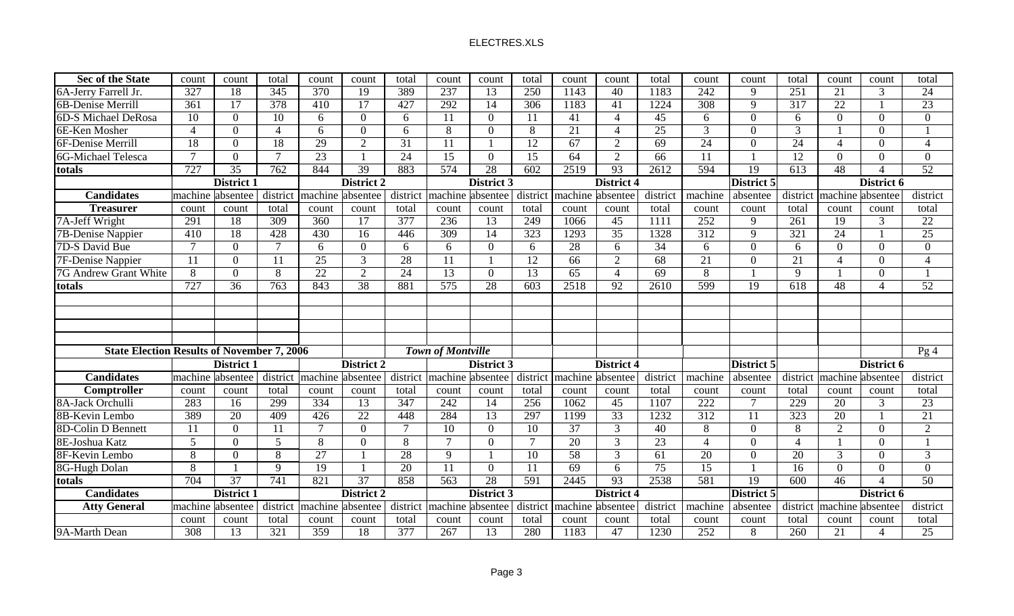| <b>Sec of the State</b>                           | count            | count             | total            | count            | count             | total            | count                    | count           | total            | count            | count                    | total           | count            | count           | total                    | count                     | count                 | total           |
|---------------------------------------------------|------------------|-------------------|------------------|------------------|-------------------|------------------|--------------------------|-----------------|------------------|------------------|--------------------------|-----------------|------------------|-----------------|--------------------------|---------------------------|-----------------------|-----------------|
| 6A-Jerry Farrell Jr.                              | 327              | 18                | 345              | 370              | 19                | 389              | 237                      | 13              | 250              | 1143             | 40                       | 1183            | 242              | 9               | 251                      | 21                        | 3                     | 24              |
| 6B-Denise Merrill                                 | 361              | 17                | $\frac{378}{ }$  | 410              | 17                | 427              | 292                      | 14              | 306              | 1183             | 41                       | 1224            | 308              | 9               | 317                      | 22                        |                       | 23              |
| 6D-S Michael DeRosa                               | 10               | $\Omega$          | 10               | 6                | $\Omega$          | 6                | 11                       | $\overline{0}$  | 11               | 41               | $\boldsymbol{\varDelta}$ | 45              | 6                | $\overline{0}$  | 6                        | $\Omega$                  | $\Omega$              | $\Omega$        |
| 6E-Ken Mosher                                     | $\overline{4}$   | $\Omega$          | $\Delta$         | 6                | $\overline{0}$    | 6                | $\overline{8}$           | $\overline{0}$  | 8                | 21               | $\overline{4}$           | $\overline{25}$ | 3                | $\mathbf{0}$    | $\overline{3}$           |                           | $\Omega$              |                 |
| 6F-Denise Merrill                                 | 18               | $\Omega$          | 18               | 29               | $\overline{2}$    | 31               | 11                       | $\overline{1}$  | 12               | 67               | 2                        | 69              | 24               | $\mathbf{0}$    | 24                       | $\overline{4}$            | $\Omega$              | $\overline{4}$  |
| 6G-Michael Telesca                                | $\mathcal{I}$    | $\Omega$          | $\overline{7}$   | 23               |                   | 24               | 15                       | $\overline{0}$  | 15               | 64               | 2                        | 66              | 11               | $\mathbf{1}$    | 12                       | $\overline{0}$            | $\Omega$              | $\overline{0}$  |
| totals                                            | $\overline{727}$ | 35                | 762              | 844              | $\overline{39}$   | 883              | 574                      | $\overline{28}$ | $\overline{602}$ | 2519             | $\overline{93}$          | 2612            | 594              | $\overline{19}$ | $\overline{613}$         | 48                        |                       | $\overline{52}$ |
|                                                   |                  | <b>District 1</b> |                  |                  | <b>District 2</b> |                  |                          | District 3      |                  |                  | <b>District 4</b>        |                 |                  | District 5      |                          |                           | District 6            |                 |
| $\overline{\text{Candidates}}$                    |                  | machine absentee  | district         |                  | machine absentee  | district         | machine absentee         |                 | district         | machine absentee |                          | district        | machine          | absentee        |                          | district machine absentee |                       | district        |
| <b>Treasurer</b>                                  | count            | count             | total            | count            | count             | total            | count                    | count           | total            | count            | count                    | total           | count            | count           | total                    | count                     | count                 | total           |
| 7A-Jeff Wright                                    | 291              | 18                | $\overline{309}$ | 360              | 17                | $\overline{377}$ | 236                      | 13              | 249              | 1066             | 45                       | 1111            | 252              | 9               | $\overline{261}$         | 19                        | $\overline{3}$        | 22              |
| 7B-Denise Nappier                                 | 410              | 18                | 428              | 430              | $\overline{16}$   | 446              | 309                      | 14              | $\overline{323}$ | 1293             | $\overline{35}$          | 1328            | $\overline{312}$ | 9               | 321                      | 24                        |                       | 25              |
| 7D-S David Bue                                    | $\overline{7}$   | $\overline{0}$    | $\overline{7}$   | 6                | $\overline{0}$    | 6                | 6                        | $\overline{0}$  | 6                | 28               | 6                        | 34              | 6                | $\mathbf{0}$    | 6                        | $\overline{0}$            | $\theta$              | $\overline{0}$  |
| <b>7F-Denise Nappier</b>                          | 11               | $\Omega$          | 11               | 25               | $\overline{3}$    | 28               | 11                       | $\mathbf{1}$    | 12               | 66               | 2                        | 68              | 21               | $\overline{0}$  | 21                       | $\overline{4}$            | $\theta$              |                 |
| 7G Andrew Grant White                             | $\overline{8}$   | $\Omega$          | 8                | $\overline{22}$  | $\overline{2}$    | $\overline{24}$  | $\overline{13}$          | $\overline{0}$  | 13               | $\overline{65}$  | $\overline{4}$           | 69              | 8                | $\mathbf{1}$    | 9                        |                           | $\Omega$              |                 |
| totals                                            | 727              | 36                | 763              | 843              | 38                | 881              | 575                      | 28              | 603              | 2518             | 92                       | 2610            | 599              | 19              | 618                      | 48                        |                       | 52              |
|                                                   |                  |                   |                  |                  |                   |                  |                          |                 |                  |                  |                          |                 |                  |                 |                          |                           |                       |                 |
|                                                   |                  |                   |                  |                  |                   |                  |                          |                 |                  |                  |                          |                 |                  |                 |                          |                           |                       |                 |
|                                                   |                  |                   |                  |                  |                   |                  |                          |                 |                  |                  |                          |                 |                  |                 |                          |                           |                       |                 |
|                                                   |                  |                   |                  |                  |                   |                  |                          |                 |                  |                  |                          |                 |                  |                 |                          |                           |                       |                 |
| <b>State Election Results of November 7, 2006</b> |                  |                   |                  |                  |                   |                  | <b>Town of Montville</b> |                 |                  |                  |                          |                 |                  |                 |                          |                           |                       | Pg4             |
|                                                   |                  | <b>District 1</b> |                  |                  | <b>District 2</b> |                  |                          | District 3      |                  |                  | District 4               |                 |                  | District 5      |                          |                           | District 6            |                 |
| <b>Candidates</b>                                 |                  | machine absentee  | district         |                  | machine absentee  | district         | machine absentee         |                 | district         | machine absentee |                          | district        | machine          | absentee        |                          | district machine absentee |                       | district        |
| Comptroller                                       | count            | count             | total            | count            | count             | total            | count                    | count           | total            | count            | count                    | total           | count            | count           | total                    | count                     | count                 | total           |
| 8A-Jack Orchulli                                  | 283              | 16                | 299              | 334              | 13                | 347              | 242                      | 14              | $\overline{256}$ | 1062             | 45                       | 1107            | 222              | $\overline{7}$  | 229                      | 20                        | 3                     | 23              |
| 8B-Kevin Lembo                                    | 389              | 20                | 409              | 426              | $\overline{22}$   | 448              | 284                      | 13              | 297              | 1199             | $\overline{33}$          | 1232            | $\overline{312}$ | 11              | 323                      | 20                        |                       | 21              |
| 8D-Colin D Bennett                                | 11               | $\Omega$          | 11               | $\overline{7}$   | $\overline{0}$    | $\overline{7}$   | 10                       | $\overline{0}$  | 10               | 37               | $\overline{3}$           | 40              | 8                | $\overline{0}$  | 8                        | $\overline{2}$            | $\theta$              | $\overline{2}$  |
| 8E-Joshua Katz                                    | $\overline{5}$   | $\Omega$          | 5                | 8                | $\overline{0}$    | 8                | $\overline{7}$           | $\theta$        | $\tau$           | 20               | $\mathfrak{Z}$           | 23              |                  | $\overline{0}$  | $\overline{\mathcal{A}}$ |                           | $\Omega$              |                 |
| 8F-Kevin Lembo                                    | 8                | $\Omega$          | 8                | $\overline{27}$  |                   | 28               | $\overline{9}$           |                 | $\overline{10}$  | $\overline{58}$  | $\overline{3}$           | 61              | $\overline{20}$  | $\overline{0}$  | 20                       | $\overline{3}$            | $\Omega$              | $\mathfrak{Z}$  |
| 8G-Hugh Dolan                                     | 8                |                   | $\mathbf Q$      | 19               |                   | $\overline{20}$  | 11                       | $\overline{0}$  | 11               | $\overline{69}$  | 6                        | $\overline{75}$ | $\overline{15}$  | $\mathbf{1}$    | $\overline{16}$          | $\overline{0}$            | $\Omega$              | $\Omega$        |
| totals                                            | 704              | 37                | 741              | $\overline{821}$ | $\overline{37}$   | 858              | $\overline{563}$         | 28              | 591              | 2445             | 93                       | 2538            | 581              | 19              | 600                      | 46                        |                       | 50              |
| <b>Candidates</b>                                 |                  | <b>District 1</b> |                  |                  | District 2        |                  |                          | District 3      |                  |                  | District 4               |                 |                  | District 5      |                          |                           | District 6            |                 |
| <b>Atty General</b>                               | machine          | absentee          | district         |                  | machine absentee  | district         | machine absentee         |                 | district         | machine absentee |                          | district        | machine          | absentee        |                          | district machine absentee |                       | district        |
|                                                   | count            | count             | total            | count            | count             | total            | count                    | count           | total            | count            | count                    | total           | count            | count           | total                    | count                     | count                 | total           |
| 9A-Marth Dean                                     | 308              | 13                | 321              | 359              | 18                | 377              | 267                      | 13              | 280              | 1183             | 47                       | 1230            | 252              | 8               | 260                      | 21                        | $\boldsymbol{\Delta}$ | 25              |
|                                                   |                  |                   |                  |                  |                   |                  |                          |                 |                  |                  |                          |                 |                  |                 |                          |                           |                       |                 |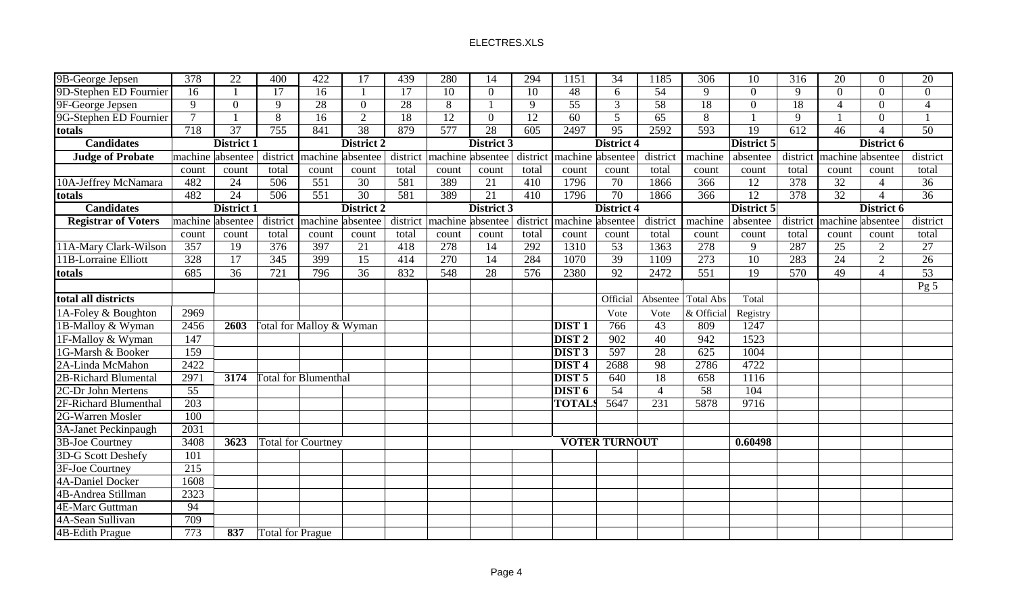| 9B-George Jepsen           | 378              | $\overline{22}$   | 400                     | 422                                 | 17                | 439      | 280              | 14                | 294              | 1151                          | $\overline{34}$      | 1185            | $\overline{306}$ | 10               | 316              | 20                        | $\Omega$                  | 20              |
|----------------------------|------------------|-------------------|-------------------------|-------------------------------------|-------------------|----------|------------------|-------------------|------------------|-------------------------------|----------------------|-----------------|------------------|------------------|------------------|---------------------------|---------------------------|-----------------|
| 9D-Stephen ED Fournier     | 16               |                   | 17                      | 16                                  |                   | 17       | 10               | $\overline{0}$    | 10               | 48                            | 6                    | $\overline{54}$ | 9                | $\boldsymbol{0}$ | 9                | $\overline{0}$            | $\Omega$                  | $\overline{0}$  |
| 9F-George Jepsen           | 9                | $\overline{0}$    | 9                       | 28                                  | $\Omega$          | 28       | 8                | $\mathbf{1}$      | 9                | 55                            | 3                    | $\overline{58}$ | 18               | $\overline{0}$   | 18               | $\overline{\mathcal{A}}$  | $\Omega$                  | $\overline{4}$  |
| 9G-Stephen ED Fournier     | $\overline{7}$   |                   | $\overline{8}$          | $\overline{16}$                     | $\overline{2}$    | 18       | 12               | $\overline{0}$    | $\overline{12}$  | $\overline{60}$               | $\overline{5}$       | 65              | $\overline{8}$   |                  | 9                |                           | $\Omega$                  | $\mathbf{1}$    |
| totals                     | $\overline{718}$ | $\overline{37}$   | 755                     | 841                                 | 38                | 879      | 577              | 28                | $\overline{605}$ | 2497                          | 95                   | 2592            | 593              | $\overline{19}$  | $\overline{612}$ | 46                        | Δ                         | $\overline{50}$ |
| <b>Candidates</b>          |                  | <b>District 1</b> |                         |                                     | <b>District 2</b> |          |                  | <b>District 3</b> |                  |                               | <b>District 4</b>    |                 |                  | District 5       |                  |                           | District 6                |                 |
| <b>Judge of Probate</b>    |                  | machine absentee  |                         | district machine absentee           |                   | district | machine absentee |                   |                  | district   machine   absentee |                      | district        | machine          | absentee         |                  | district machine absentee |                           | district        |
|                            | count            | count             | total                   | count                               | count             | total    | count            | count             | total            | count                         | count                | total           | count            | count            | total            | count                     | count                     | total           |
| 10A-Jeffrey McNamara       | 482              | $\overline{24}$   | $\overline{506}$        | $\overline{551}$                    | $\overline{30}$   | 581      | 389              | 21                | 410              | 1796                          | $\overline{70}$      | 1866            | $\overline{366}$ | 12               | $\overline{378}$ | $\overline{32}$           | $\overline{\mathcal{L}}$  | $\overline{36}$ |
| totals                     | 482              | $\overline{24}$   | 506                     | 551                                 | $\overline{30}$   | 581      | 389              | 21                | 410              | 1796                          | $\overline{70}$      | 1866            | 366              | 12               | 378              | $\overline{32}$           | $\Delta$                  | $\overline{36}$ |
| <b>Candidates</b>          |                  | <b>District 1</b> |                         |                                     | <b>District 2</b> |          |                  | District 3        |                  |                               | <b>District 4</b>    |                 |                  | District 5       |                  |                           | District 6                |                 |
| <b>Registrar of Voters</b> |                  | machine absentee  | district                | machine absentee                    |                   | district | machine absentee |                   | district         | machine absentee              |                      | district        | machine          | absentee         |                  |                           | district machine absentee | district        |
|                            | count            | count             | total                   | count                               | count             | total    | count            | count             | total            | count                         | count                | total           | count            | count            | total            | count                     | count                     | total           |
| 11A-Mary Clark-Wilson      | 357              | 19                | 376                     | 397                                 | 21                | 418      | 278              | 14                | 292              | 1310                          | 53                   | 1363            | 278              | 9                | 287              | 25                        | $\overline{2}$            | 27              |
| 11B-Lorraine Elliott       | 328              | 17                | 345                     | 399                                 | 15                | 414      | 270              | 14                | 284              | 1070                          | 39                   | 1109            | 273              | $\overline{10}$  | 283              | $\overline{24}$           | $\overline{2}$            | $\overline{26}$ |
| totals                     | 685              | $\overline{36}$   | $\overline{721}$        | 796                                 | 36                | 832      | 548              | 28                | 576              | 2380                          | $\overline{92}$      | 2472            | 551              | 19               | 570              | 49                        | $\overline{\mathcal{L}}$  | $\overline{53}$ |
|                            |                  |                   |                         |                                     |                   |          |                  |                   |                  |                               |                      |                 |                  |                  |                  |                           |                           | Pg <sub>5</sub> |
| total all districts        |                  |                   |                         |                                     |                   |          |                  |                   |                  |                               | Official             | Absentee        | <b>Total Abs</b> | Total            |                  |                           |                           |                 |
| 1A-Foley & Boughton        | 2969             |                   |                         |                                     |                   |          |                  |                   |                  |                               | Vote                 | Vote            | & Official       | Registry         |                  |                           |                           |                 |
| 1B-Malloy & Wyman          | 2456             | 2603              |                         | <b>Total for Malloy &amp; Wyman</b> |                   |          |                  |                   |                  | <b>DIST1</b>                  | 766                  | 43              | 809              | 1247             |                  |                           |                           |                 |
| 1F-Malloy & Wyman          | 147              |                   |                         |                                     |                   |          |                  |                   |                  | <b>DIST 2</b>                 | 902                  | 40              | 942              | 1523             |                  |                           |                           |                 |
| 1G-Marsh & Booker          | 159              |                   |                         |                                     |                   |          |                  |                   |                  | DIST <sub>3</sub>             | 597                  | $\overline{28}$ | $\overline{625}$ | 1004             |                  |                           |                           |                 |
| 2A-Linda McMahon           | 2422             |                   |                         |                                     |                   |          |                  |                   |                  | DIST <sub>4</sub>             | 2688                 | 98              | 2786             | 4722             |                  |                           |                           |                 |
| 2B-Richard Blumental       | 2971             | 3174              |                         | <b>Total for Blumenthal</b>         |                   |          |                  |                   |                  | DIST <sub>5</sub>             | 640                  | 18              | 658              | 1116             |                  |                           |                           |                 |
| 2C-Dr John Mertens         | 55               |                   |                         |                                     |                   |          |                  |                   |                  | DIST <sub>6</sub>             | 54                   | $\overline{4}$  | 58               | 104              |                  |                           |                           |                 |
| 2F-Richard Blumenthal      | 203              |                   |                         |                                     |                   |          |                  |                   |                  | <b>TOTAL</b>                  | 5647                 | 231             | 5878             | 9716             |                  |                           |                           |                 |
| 2G-Warren Mosler           | 100              |                   |                         |                                     |                   |          |                  |                   |                  |                               |                      |                 |                  |                  |                  |                           |                           |                 |
| 3A-Janet Peckinpaugh       | 2031             |                   |                         |                                     |                   |          |                  |                   |                  |                               |                      |                 |                  |                  |                  |                           |                           |                 |
| 3B-Joe Courtney            | 3408             | 3623              |                         | <b>Total for Courtney</b>           |                   |          |                  |                   |                  |                               | <b>VOTER TURNOUT</b> |                 |                  | 0.60498          |                  |                           |                           |                 |
| 3D-G Scott Deshefy         | 101              |                   |                         |                                     |                   |          |                  |                   |                  |                               |                      |                 |                  |                  |                  |                           |                           |                 |
| 3F-Joe Courtney            | $\overline{215}$ |                   |                         |                                     |                   |          |                  |                   |                  |                               |                      |                 |                  |                  |                  |                           |                           |                 |
| 4A-Daniel Docker           | 1608             |                   |                         |                                     |                   |          |                  |                   |                  |                               |                      |                 |                  |                  |                  |                           |                           |                 |
| 4B-Andrea Stillman         | 2323             |                   |                         |                                     |                   |          |                  |                   |                  |                               |                      |                 |                  |                  |                  |                           |                           |                 |
| <b>4E-Marc Guttman</b>     | 94               |                   |                         |                                     |                   |          |                  |                   |                  |                               |                      |                 |                  |                  |                  |                           |                           |                 |
| 4A-Sean Sullivan           | 709              |                   |                         |                                     |                   |          |                  |                   |                  |                               |                      |                 |                  |                  |                  |                           |                           |                 |
| <b>4B-Edith Prague</b>     | 773              | 837               | <b>Total for Prague</b> |                                     |                   |          |                  |                   |                  |                               |                      |                 |                  |                  |                  |                           |                           |                 |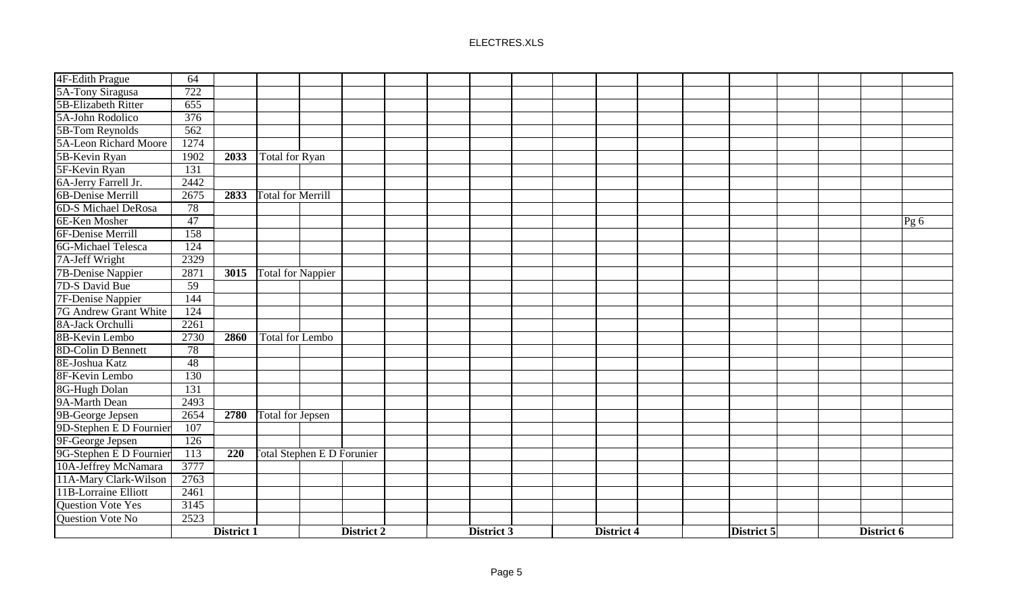| 4F-Edith Prague          | 64              |            |                                   |            |  |            |  |            |  |                   |  |            |      |
|--------------------------|-----------------|------------|-----------------------------------|------------|--|------------|--|------------|--|-------------------|--|------------|------|
| 5A-Tony Siragusa         | 722             |            |                                   |            |  |            |  |            |  |                   |  |            |      |
| 5B-Elizabeth Ritter      | 655             |            |                                   |            |  |            |  |            |  |                   |  |            |      |
| 5A-John Rodolico         | 376             |            |                                   |            |  |            |  |            |  |                   |  |            |      |
| 5B-Tom Reynolds          | 562             |            |                                   |            |  |            |  |            |  |                   |  |            |      |
| 5A-Leon Richard Moore    | 1274            |            |                                   |            |  |            |  |            |  |                   |  |            |      |
| 5B-Kevin Ryan            | 1902            | 2033       | Total for Ryan                    |            |  |            |  |            |  |                   |  |            |      |
| 5F-Kevin Ryan            | 131             |            |                                   |            |  |            |  |            |  |                   |  |            |      |
| 6A-Jerry Farrell Jr.     | 2442            |            |                                   |            |  |            |  |            |  |                   |  |            |      |
| 6B-Denise Merrill        | 2675            | 2833       | <b>Total for Merrill</b>          |            |  |            |  |            |  |                   |  |            |      |
| 6D-S Michael DeRosa      | 78              |            |                                   |            |  |            |  |            |  |                   |  |            |      |
| 6E-Ken Mosher            | $\overline{47}$ |            |                                   |            |  |            |  |            |  |                   |  |            | Pg 6 |
| 6F-Denise Merrill        | 158             |            |                                   |            |  |            |  |            |  |                   |  |            |      |
| 6G-Michael Telesca       | 124             |            |                                   |            |  |            |  |            |  |                   |  |            |      |
| 7A-Jeff Wright           | 2329            |            |                                   |            |  |            |  |            |  |                   |  |            |      |
| <b>7B-Denise Nappier</b> | 2871            | 3015       | Total for Nappier                 |            |  |            |  |            |  |                   |  |            |      |
| 7D-S David Bue           | 59              |            |                                   |            |  |            |  |            |  |                   |  |            |      |
| <b>7F-Denise Nappier</b> | 144             |            |                                   |            |  |            |  |            |  |                   |  |            |      |
| 7G Andrew Grant White    | 124             |            |                                   |            |  |            |  |            |  |                   |  |            |      |
| 8A-Jack Orchulli         | 2261            |            |                                   |            |  |            |  |            |  |                   |  |            |      |
| 8B-Kevin Lembo           | 2730            | 2860       | <b>Total for Lembo</b>            |            |  |            |  |            |  |                   |  |            |      |
| 8D-Colin D Bennett       | 78              |            |                                   |            |  |            |  |            |  |                   |  |            |      |
| 8E-Joshua Katz           | $\overline{48}$ |            |                                   |            |  |            |  |            |  |                   |  |            |      |
| 8F-Kevin Lembo           | 130             |            |                                   |            |  |            |  |            |  |                   |  |            |      |
| 8G-Hugh Dolan            | 131             |            |                                   |            |  |            |  |            |  |                   |  |            |      |
| 9A-Marth Dean            | 2493            |            |                                   |            |  |            |  |            |  |                   |  |            |      |
| 9B-George Jepsen         | 2654            | 2780       | Total for Jepsen                  |            |  |            |  |            |  |                   |  |            |      |
| 9D-Stephen E D Fournier  | 107             |            |                                   |            |  |            |  |            |  |                   |  |            |      |
| 9F-George Jepsen         | 126             |            |                                   |            |  |            |  |            |  |                   |  |            |      |
| 9G-Stephen E D Fournier  | 113             | 220        | <b>Total Stephen E D Forunier</b> |            |  |            |  |            |  |                   |  |            |      |
| 10A-Jeffrey McNamara     | 3777            |            |                                   |            |  |            |  |            |  |                   |  |            |      |
| 11A-Mary Clark-Wilson    | 2763            |            |                                   |            |  |            |  |            |  |                   |  |            |      |
| 11B-Lorraine Elliott     | 2461            |            |                                   |            |  |            |  |            |  |                   |  |            |      |
| <b>Question Vote Yes</b> | 3145            |            |                                   |            |  |            |  |            |  |                   |  |            |      |
| Question Vote No         | 2523            |            |                                   |            |  |            |  |            |  |                   |  |            |      |
|                          |                 | District 1 |                                   | District 2 |  | District 3 |  | District 4 |  | <b>District 5</b> |  | District 6 |      |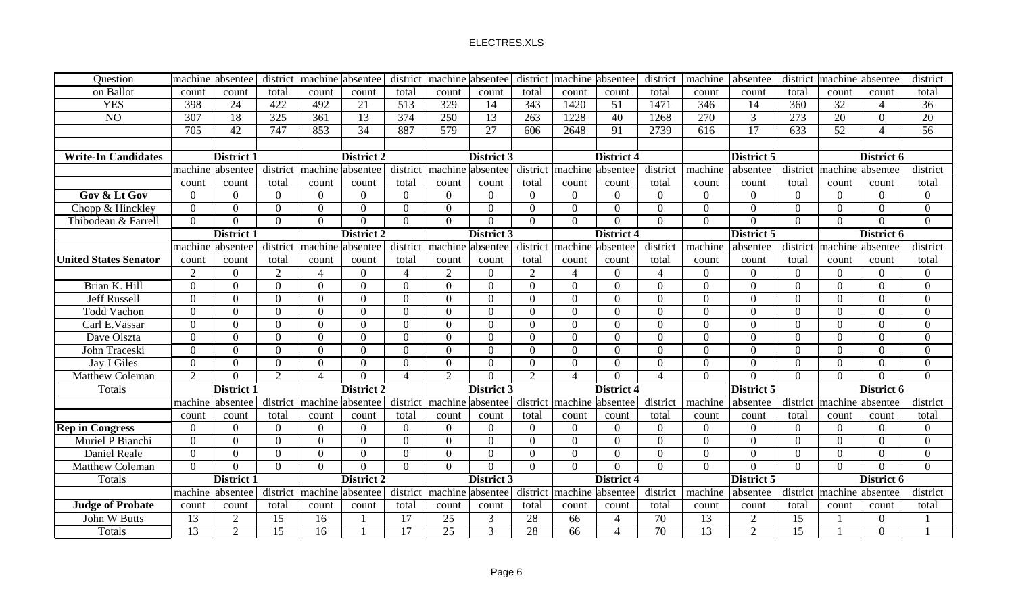| Question                     | machine         | absentee          | district        | machine absentee |                   | district       | machine         | absentee        | district        | machine absentee      |                          | district        | machine          | absentee        | district         | machine absentee |                          | district       |
|------------------------------|-----------------|-------------------|-----------------|------------------|-------------------|----------------|-----------------|-----------------|-----------------|-----------------------|--------------------------|-----------------|------------------|-----------------|------------------|------------------|--------------------------|----------------|
| on Ballot                    | count           | count             | total           | count            | count             | total          | count           | count           | total           | count                 | count                    | total           | count            | count           | total            | count            | count                    | total          |
| <b>YES</b>                   | 398             | 24                | 422             | 492              | 21                | 513            | 329             | 14              | 343             | 1420                  | 51                       | 1471            | 346              | 14              | 360              | 32               | $\boldsymbol{\varDelta}$ | 36             |
| NO                           | 307             | 18                | 325             | 361              | 13                | 374            | 250             | $\overline{13}$ | 263             | 1228                  | 40                       | 1268            | 270              | $\overline{3}$  | $\overline{273}$ | 20               | $\Omega$                 | 20             |
|                              | 705             | $\overline{42}$   | 747             | 853              | 34                | 887            | 579             | 27              | 606             | 2648                  | 91                       | 2739            | $\overline{616}$ | $\overline{17}$ | 633              | $\overline{52}$  | $\boldsymbol{\varDelta}$ | 56             |
|                              |                 |                   |                 |                  |                   |                |                 |                 |                 |                       |                          |                 |                  |                 |                  |                  |                          |                |
| <b>Write-In Candidates</b>   |                 | District 1        |                 |                  | District 2        |                |                 | District 3      |                 |                       | District 4               |                 |                  | District 5      |                  |                  | District 6               |                |
|                              |                 | machine absentee  | district        | machine absentee |                   | district       | machine         | absentee        | district        | machine absentee      |                          | district        | machine          | absentee        | district         | machine absentee |                          | district       |
|                              | count           | count             | total           | count            | count             | total          | count           | count           | total           | count                 | count                    | total           | count            | count           | total            | count            | count                    | total          |
| Gov & Lt Gov                 | $\Omega$        | $\Omega$          | $\Omega$        | $\Omega$         | $\Omega$          | $\Omega$       | $\Omega$        | $\Omega$        | $\Omega$        | $\Omega$              | $\Omega$                 | $\Omega$        | $\overline{0}$   | $\Omega$        | $\Omega$         | $\Omega$         | $\Omega$                 | $\overline{0}$ |
| Chopp & Hinckley             | $\overline{0}$  | $\overline{0}$    | $\overline{0}$  | $\overline{0}$   | $\Omega$          | $\theta$       | $\Omega$        | $\overline{0}$  | $\Omega$        | $\Omega$              | $\Omega$                 | $\overline{0}$  | $\overline{0}$   | $\overline{0}$  | $\Omega$         | $\theta$         | $\Omega$                 | $\overline{0}$ |
| Thibodeau & Farrell          | $\theta$        | $\overline{0}$    | $\overline{0}$  | $\overline{0}$   | $\Omega$          | $\Omega$       | $\Omega$        | $\Omega$        | $\Omega$        | $\Omega$              | $\Omega$                 | $\overline{0}$  | $\overline{0}$   | $\overline{0}$  | $\theta$         | $\Omega$         | $\theta$                 | $\overline{0}$ |
|                              |                 | <b>District 1</b> |                 |                  | <b>District 2</b> |                |                 | District 3      |                 |                       | <b>District 4</b>        |                 |                  | District 5      |                  |                  | District 6               |                |
|                              | machine         | absentee          | district        | machine absentee |                   | district       | machine         | absentee        | district        | machine               | labsentee                | district        | machine          | absentee        | district         | machine          | absentee                 | district       |
| <b>United States Senator</b> | count           | count             | total           | count            | count             | total          | count           | count           | total           | count                 | count                    | total           | count            | count           | total            | count            | count                    | total          |
|                              | $\overline{2}$  | $\overline{0}$    | 2               | $\overline{4}$   | $\Omega$          | $\overline{4}$ | $\overline{2}$  | $\theta$        | $\overline{2}$  | 4                     | $\Omega$                 | $\overline{4}$  | $\mathbf{0}$     | $\overline{0}$  | $\Omega$         | $\overline{0}$   | $\Omega$                 | $\overline{0}$ |
| Brian K. Hill                | $\Omega$        | $\Omega$          | $\Omega$        | $\overline{0}$   | $\Omega$          | $\Omega$       | $\Omega$        | $\overline{0}$  | $\Omega$        | $\Omega$              | $\Omega$                 | $\overline{0}$  | $\mathbf{0}$     | $\overline{0}$  | $\Omega$         | $\Omega$         | $\Omega$                 | $\overline{0}$ |
| <b>Jeff Russell</b>          | $\Omega$        | $\Omega$          | $\Omega$        | $\Omega$         | $\Omega$          | $\Omega$       | $\Omega$        | $\Omega$        | 0               | $\Omega$              | $\Omega$                 | $\Omega$        | $\overline{0}$   | $\overline{0}$  | 0                | $\Omega$         | $\Omega$                 | $\theta$       |
| <b>Todd Vachon</b>           | $\Omega$        | $\theta$          | $\Omega$        | $\Omega$         | $\Omega$          | $\Omega$       | $\Omega$        | $\overline{0}$  | $\Omega$        | $\Omega$              | $\Omega$                 | $\Omega$        | $\overline{0}$   | $\theta$        | $\Omega$         | $\Omega$         | $\Omega$                 | $\Omega$       |
| Carl E.Vassar                | $\Omega$        | $\Omega$          | $\Omega$        | $\Omega$         | $\Omega$          | $\Omega$       | $\Omega$        | $\mathbf{0}$    | $\Omega$        | $\Omega$              | $\Omega$                 | $\theta$        | $\overline{0}$   | $\Omega$        | $\Omega$         | $\Omega$         | $\Omega$                 | $\Omega$       |
| Dave Olszta                  | $\Omega$        | $\Omega$          | $\Omega$        | $\overline{0}$   | $\Omega$          | $\Omega$       | $\Omega$        | $\overline{0}$  | $\Omega$        | $\Omega$              | $\Omega$                 | $\overline{0}$  | $\mathbf{0}$     | $\overline{0}$  | $\Omega$         | $\Omega$         | $\Omega$                 | $\overline{0}$ |
| John Traceski                | $\theta$        | $\overline{0}$    | $\Omega$        | $\overline{0}$   | $\Omega$          | $\overline{0}$ | $\Omega$        | $\overline{0}$  | $\Omega$        | $\Omega$              | $\Omega$                 | $\overline{0}$  | $\overline{0}$   | $\overline{0}$  | $\Omega$         | $\Omega$         | $\Omega$                 | $\overline{0}$ |
| Jay J Giles                  | $\overline{0}$  | $\overline{0}$    | $\overline{0}$  | $\overline{0}$   | $\Omega$          | $\Omega$       | $\Omega$        | $\overline{0}$  | $\Omega$        | $\Omega$              | $\Omega$                 | $\overline{0}$  | $\mathbf{0}$     | $\overline{0}$  | $\Omega$         | $\overline{0}$   | $\Omega$                 | $\mathbf{0}$   |
| <b>Matthew Coleman</b>       | $\overline{2}$  | $\Omega$          | $\overline{2}$  | $\overline{4}$   | $\Omega$          | $\overline{4}$ | 2               | $\Omega$        | $\overline{2}$  | $\boldsymbol{\Delta}$ | $\Omega$                 | $\overline{4}$  | $\mathbf{0}$     | $\theta$        | $\Omega$         | $\Omega$         | $\Omega$                 | $\overline{0}$ |
| Totals                       |                 | <b>District 1</b> |                 |                  | <b>District 2</b> |                |                 | District 3      |                 |                       | <b>District 4</b>        |                 |                  | District 5      |                  |                  | District 6               |                |
|                              | machine         | absentee          | district        | machine          | absentee          | district       | machine         | absentee        | district        | machine               | absentee                 | district        | machine          | absentee        | district         | machine absentee |                          | district       |
|                              | count           | count             | total           | count            | count             | total          | count           | count           | total           | count                 | count                    | total           | count            | count           | total            | count            | count                    | total          |
| <b>Rep in Congress</b>       | $\Omega$        | $\theta$          | $\Omega$        | $\theta$         | $\Omega$          | $\Omega$       | $\Omega$        | $\theta$        | $\Omega$        | $\Omega$              | $\Omega$                 | $\overline{0}$  | $\theta$         | $\Omega$        | $\Omega$         | $\Omega$         | $\Omega$                 | $\theta$       |
| Muriel P Bianchi             | $\Omega$        | $\Omega$          | $\Omega$        | $\overline{0}$   | $\Omega$          | $\Omega$       | $\Omega$        | $\overline{0}$  | $\Omega$        | $\Omega$              | $\Omega$                 | $\overline{0}$  | $\overline{0}$   | $\overline{0}$  | $\Omega$         | $\Omega$         | $\Omega$                 | $\overline{0}$ |
| Daniel Reale                 | $\Omega$        | $\overline{0}$    | $\overline{0}$  | $\overline{0}$   | $\Omega$          | $\Omega$       | $\Omega$        | $\overline{0}$  | $\Omega$        | $\Omega$              | $\Omega$                 | $\overline{0}$  | $\overline{0}$   | $\overline{0}$  | $\Omega$         | $\overline{0}$   | $\Omega$                 | $\overline{0}$ |
| <b>Matthew Coleman</b>       | $\Omega$        | $\Omega$          | $\overline{0}$  | $\overline{0}$   | $\Omega$          | $\Omega$       | $\Omega$        | $\theta$        | $\Omega$        | $\Omega$              | $\Omega$                 | $\mathbf{0}$    | $\mathbf{0}$     | $\theta$        | $\Omega$         | $\theta$         | $\Omega$                 | $\overline{0}$ |
| Totals                       |                 | <b>District 1</b> |                 |                  | District 2        |                |                 | District 3      |                 |                       | District 4               |                 |                  | District 5      |                  |                  | District 6               |                |
|                              | machine         | absentee          | district        | machine          | absentee          | district       | machine         | absentee        | district        | machine               | absentee                 | district        | machine          | absentee        | district         | machine          | absentee                 | district       |
| <b>Judge of Probate</b>      | count           | count             | total           | count            | count             | total          | count           | count           | total           | count                 | count                    | total           | count            | count           | total            | count            | count                    | total          |
| John W Butts                 | $\overline{13}$ | $\overline{2}$    | $\overline{15}$ | 16               |                   | 17             | 25              | 3               | 28              | 66                    | 4                        | $\overline{70}$ | 13               | $\overline{2}$  | 15               |                  | $\Omega$                 |                |
| Totals                       | 13              | $\overline{2}$    | $\overline{15}$ | $\overline{16}$  |                   | 17             | $\overline{25}$ | 3               | $\overline{28}$ | 66                    | $\overline{\mathcal{A}}$ | 70              | 13               | $\overline{2}$  | $\overline{15}$  |                  | $\Omega$                 |                |